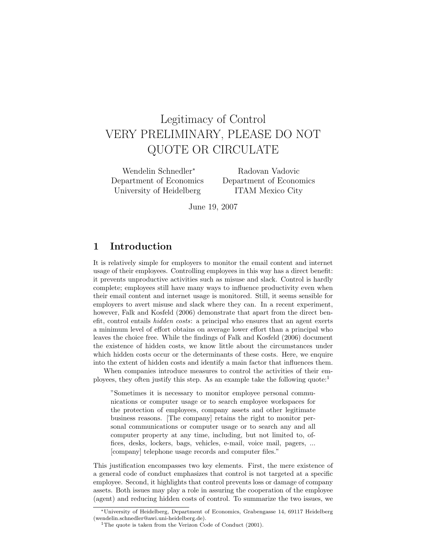# Legitimacy of Control VERY PRELIMINARY, PLEASE DO NOT QUOTE OR CIRCULATE

Wendelin Schnedler<sup>∗</sup> Department of Economics University of Heidelberg

Radovan Vadovic Department of Economics ITAM Mexico City

June 19, 2007

## 1 Introduction

It is relatively simple for employers to monitor the email content and internet usage of their employees. Controlling employees in this way has a direct benefit: it prevents unproductive activities such as misuse and slack. Control is hardly complete; employees still have many ways to influence productivity even when their email content and internet usage is monitored. Still, it seems sensible for employers to avert misuse and slack where they can. In a recent experiment, however, Falk and Kosfeld (2006) demonstrate that apart from the direct benefit, control entails hidden costs: a principal who ensures that an agent exerts a minimum level of effort obtains on average lower effort than a principal who leaves the choice free. While the findings of Falk and Kosfeld (2006) document the existence of hidden costs, we know little about the circumstances under which hidden costs occur or the determinants of these costs. Here, we enquire into the extent of hidden costs and identify a main factor that influences them.

When companies introduce measures to control the activities of their employees, they often justify this step. As an example take the following quote: $<sup>1</sup>$ </sup>

"Sometimes it is necessary to monitor employee personal communications or computer usage or to search employee workspaces for the protection of employees, company assets and other legitimate business reasons. [The company] retains the right to monitor personal communications or computer usage or to search any and all computer property at any time, including, but not limited to, offices, desks, lockers, bags, vehicles, e-mail, voice mail, pagers, ... [company] telephone usage records and computer files."

This justification encompasses two key elements. First, the mere existence of a general code of conduct emphasizes that control is not targeted at a specific employee. Second, it highlights that control prevents loss or damage of company assets. Both issues may play a role in assuring the cooperation of the employee (agent) and reducing hidden costs of control. To summarize the two issues, we

<sup>∗</sup>University of Heidelberg, Department of Economics, Grabengasse 14, 69117 Heidelberg (wendelin.schnedler@awi.uni-heidelberg.de).

<sup>&</sup>lt;sup>1</sup>The quote is taken from the Verizon Code of Conduct  $(2001)$ .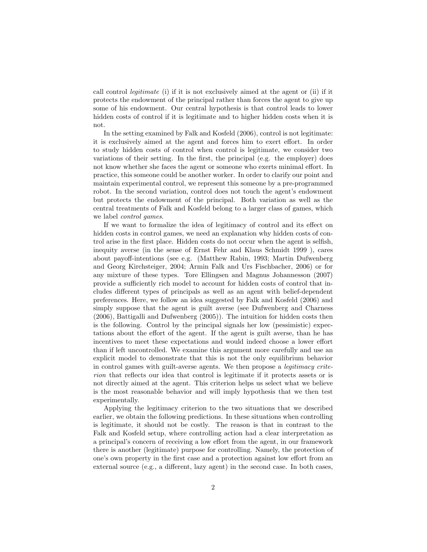call control legitimate (i) if it is not exclusively aimed at the agent or (ii) if it protects the endowment of the principal rather than forces the agent to give up some of his endowment. Our central hypothesis is that control leads to lower hidden costs of control if it is legitimate and to higher hidden costs when it is not.

In the setting examined by Falk and Kosfeld (2006), control is not legitimate: it is exclusively aimed at the agent and forces him to exert effort. In order to study hidden costs of control when control is legitimate, we consider two variations of their setting. In the first, the principal (e.g. the employer) does not know whether she faces the agent or someone who exerts minimal effort. In practice, this someone could be another worker. In order to clarify our point and maintain experimental control, we represent this someone by a pre-programmed robot. In the second variation, control does not touch the agent's endowment but protects the endowment of the principal. Both variation as well as the central treatments of Falk and Kosfeld belong to a larger class of games, which we label control games.

If we want to formalize the idea of legitimacy of control and its effect on hidden costs in control games, we need an explanation why hidden costs of control arise in the first place. Hidden costs do not occur when the agent is selfish, inequity averse (in the sense of Ernst Fehr and Klaus Schmidt 1999 ), cares about payoff-intentions (see e.g. (Matthew Rabin, 1993; Martin Dufwenberg and Georg Kirchsteiger, 2004; Armin Falk and Urs Fischbacher, 2006) or for any mixture of these types. Tore Ellingsen and Magnus Johannesson (2007) provide a sufficiently rich model to account for hidden costs of control that includes different types of principals as well as an agent with belief-dependent preferences. Here, we follow an idea suggested by Falk and Kosfeld (2006) and simply suppose that the agent is guilt averse (see Dufwenberg and Charness (2006), Battigalli and Dufwenberg (2005)). The intuition for hidden costs then is the following. Control by the principal signals her low (pessimistic) expectations about the effort of the agent. If the agent is guilt averse, than he has incentives to meet these expectations and would indeed choose a lower effort than if left uncontrolled. We examine this argument more carefully and use an explicit model to demonstrate that this is not the only equilibrium behavior in control games with guilt-averse agents. We then propose a legitimacy criterion that reflects our idea that control is legitimate if it protects assets or is not directly aimed at the agent. This criterion helps us select what we believe is the most reasonable behavior and will imply hypothesis that we then test experimentally.

Applying the legitimacy criterion to the two situations that we described earlier, we obtain the following predictions. In these situations when controlling is legitimate, it should not be costly. The reason is that in contrast to the Falk and Kosfeld setup, where controlling action had a clear interpretation as a principal's concern of receiving a low effort from the agent, in our framework there is another (legitimate) purpose for controlling. Namely, the protection of one's own property in the first case and a protection against low effort from an external source (e.g., a different, lazy agent) in the second case. In both cases,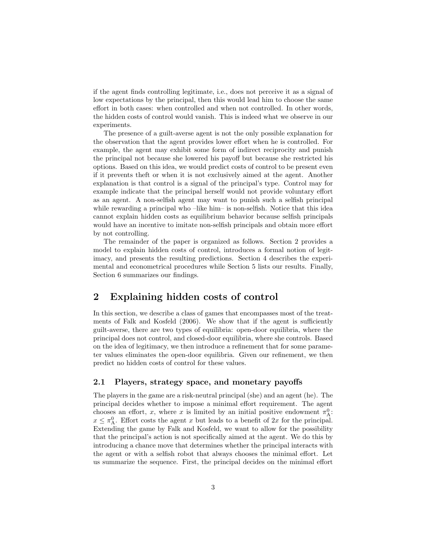if the agent finds controlling legitimate, i.e., does not perceive it as a signal of low expectations by the principal, then this would lead him to choose the same effort in both cases: when controlled and when not controlled. In other words, the hidden costs of control would vanish. This is indeed what we observe in our experiments.

The presence of a guilt-averse agent is not the only possible explanation for the observation that the agent provides lower effort when he is controlled. For example, the agent may exhibit some form of indirect reciprocity and punish the principal not because she lowered his payoff but because she restricted his options. Based on this idea, we would predict costs of control to be present even if it prevents theft or when it is not exclusively aimed at the agent. Another explanation is that control is a signal of the principal's type. Control may for example indicate that the principal herself would not provide voluntary effort as an agent. A non-selfish agent may want to punish such a selfish principal while rewarding a principal who –like him– is non-selfish. Notice that this idea cannot explain hidden costs as equilibrium behavior because selfish principals would have an incentive to imitate non-selfish principals and obtain more effort by not controlling.

The remainder of the paper is organized as follows. Section 2 provides a model to explain hidden costs of control, introduces a formal notion of legitimacy, and presents the resulting predictions. Section 4 describes the experimental and econometrical procedures while Section 5 lists our results. Finally, Section 6 summarizes our findings.

## 2 Explaining hidden costs of control

In this section, we describe a class of games that encompasses most of the treatments of Falk and Kosfeld (2006). We show that if the agent is sufficiently guilt-averse, there are two types of equilibria: open-door equilibria, where the principal does not control, and closed-door equilibria, where she controls. Based on the idea of legitimacy, we then introduce a refinement that for some parameter values eliminates the open-door equilibria. Given our refinement, we then predict no hidden costs of control for these values.

#### 2.1 Players, strategy space, and monetary payoffs

The players in the game are a risk-neutral principal (she) and an agent (he). The principal decides whether to impose a minimal effort requirement. The agent chooses an effort, x, where x is limited by an initial positive endowment  $\pi^0$ .  $x \leq \pi_A^0$ . Effort costs the agent x but leads to a benefit of 2x for the principal. Extending the game by Falk and Kosfeld, we want to allow for the possibility that the principal's action is not specifically aimed at the agent. We do this by introducing a chance move that determines whether the principal interacts with the agent or with a selfish robot that always chooses the minimal effort. Let us summarize the sequence. First, the principal decides on the minimal effort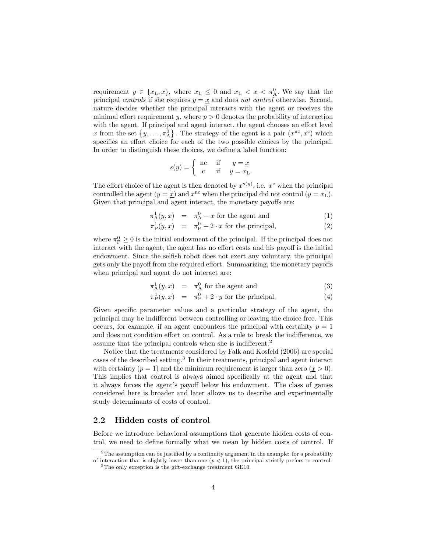requirement  $y \in \{x_L, \underline{x}\},\$  where  $x_L \leq 0$  and  $x_L < \underline{x} < \pi_A^0$ . We say that the principal controls if she requires  $y = x$  and does not control otherwise. Second, nature decides whether the principal interacts with the agent or receives the minimal effort requirement y, where  $p > 0$  denotes the probability of interaction with the agent. If principal and agent interact, the agent chooses an effort level x from the set  $\{y, \ldots, \pi_A^0\}$ . The strategy of the agent is a pair  $(x^{nc}, x^c)$  which specifies an effort choice for each of the two possible choices by the principal. In order to distinguish these choices, we define a label function:

$$
s(y) = \begin{cases} \n\text{nc} & \text{if } y = \underline{x} \\ \n\text{c} & \text{if } y = x \text{L} \n\end{cases}
$$

The effort choice of the agent is then denoted by  $x^{s(y)}$ , i.e.  $x^{c}$  when the principal controlled the agent  $(y = \underline{x})$  and  $x^{\text{nc}}$  when the principal did not control  $(y = x_{\text{L}})$ . Given that principal and agent interact, the monetary payoffs are:

$$
\pi_A^1(y, x) = \pi_A^0 - x
$$
 for the agent and (1)

$$
\pi_{\mathcal{P}}^1(y, x) = \pi_{\mathcal{P}}^0 + 2 \cdot x \text{ for the principal}, \tag{2}
$$

where  $\pi_{\rm P}^0 \geq 0$  is the initial endowment of the principal. If the principal does not interact with the agent, the agent has no effort costs and his payoff is the initial endowment. Since the selfish robot does not exert any voluntary, the principal gets only the payoff from the required effort. Summarizing, the monetary payoffs when principal and agent do not interact are:

$$
\pi_A^1(y, x) = \pi_A^0
$$
 for the agent and (3)

$$
\pi_{\mathcal{P}}^1(y, x) = \pi_{\mathcal{P}}^0 + 2 \cdot y \text{ for the principal.} \tag{4}
$$

Given specific parameter values and a particular strategy of the agent, the principal may be indifferent between controlling or leaving the choice free. This occurs, for example, if an agent encounters the principal with certainty  $p = 1$ and does not condition effort on control. As a rule to break the indifference, we assume that the principal controls when she is indifferent.<sup>2</sup>

Notice that the treatments considered by Falk and Kosfeld (2006) are special cases of the described setting.<sup>3</sup> In their treatments, principal and agent interact with certainty  $(p = 1)$  and the minimum requirement is larger than zero  $(x > 0)$ . This implies that control is always aimed specifically at the agent and that it always forces the agent's payoff below his endowment. The class of games considered here is broader and later allows us to describe and experimentally study determinants of costs of control.

#### 2.2 Hidden costs of control

Before we introduce behavioral assumptions that generate hidden costs of control, we need to define formally what we mean by hidden costs of control. If

<sup>&</sup>lt;sup>2</sup>The assumption can be justified by a continuity argument in the example: for a probability of interaction that is slightly lower than one  $(p < 1)$ , the principal strictly prefers to control.

<sup>3</sup>The only exception is the gift-exchange treatment GE10.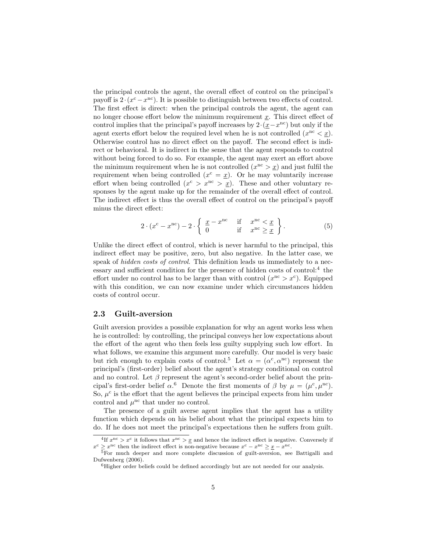the principal controls the agent, the overall effect of control on the principal's payoff is  $2 \cdot (x^c - x^{nc})$ . It is possible to distinguish between two effects of control. The first effect is direct: when the principal controls the agent, the agent can no longer choose effort below the minimum requirement  $\underline{x}$ . This direct effect of control implies that the principal's payoff increases by  $2 \cdot (x - x^{nc})$  but only if the agent exerts effort below the required level when he is not controlled  $(x<sup>nc</sup> < x)$ . Otherwise control has no direct effect on the payoff. The second effect is indirect or behavioral. It is indirect in the sense that the agent responds to control without being forced to do so. For example, the agent may exert an effort above the minimum requirement when he is not controlled  $(x^{nc} > x)$  and just fulfil the requirement when being controlled  $(x^c = \underline{x})$ . Or he may voluntarily increase effort when being controlled  $(x^{c} > x^{nc} > x)$ . These and other voluntary responses by the agent make up for the remainder of the overall effect of control. The indirect effect is thus the overall effect of control on the principal's payoff minus the direct effect:

$$
2 \cdot (x^{\mathrm{c}} - x^{\mathrm{nc}}) - 2 \cdot \left\{ \begin{array}{ll} \frac{x}{0} - x^{\mathrm{nc}} & \text{if } x^{\mathrm{nc}} < \frac{x}{2} \\ 0 & \text{if } x^{\mathrm{nc}} \ge \frac{x}{2} \end{array} \right\} . \tag{5}
$$

Unlike the direct effect of control, which is never harmful to the principal, this indirect effect may be positive, zero, but also negative. In the latter case, we speak of *hidden costs of control*. This definition leads us immediately to a necessary and sufficient condition for the presence of hidden costs of control:<sup>4</sup> the effort under no control has to be larger than with control  $(x^{nc} > x^{c})$ . Equipped with this condition, we can now examine under which circumstances hidden costs of control occur.

## 2.3 Guilt-aversion

Guilt aversion provides a possible explanation for why an agent works less when he is controlled: by controlling, the principal conveys her low expectations about the effort of the agent who then feels less guilty supplying such low effort. In what follows, we examine this argument more carefully. Our model is very basic but rich enough to explain costs of control.<sup>5</sup> Let  $\alpha = (\alpha^c, \alpha^{nc})$  represent the principal's (first-order) belief about the agent's strategy conditional on control and no control. Let  $\beta$  represent the agent's second-order belief about the principal's first-order belief  $\alpha$ <sup>6</sup> Denote the first moments of  $\beta$  by  $\mu = (\mu^c, \mu^{nc})$ . So,  $\mu^c$  is the effort that the agent believes the principal expects from him under control and  $\mu^{\text{nc}}$  that under no control.

The presence of a guilt averse agent implies that the agent has a utility function which depends on his belief about what the principal expects him to do. If he does not meet the principal's expectations then he suffers from guilt.

<sup>&</sup>lt;sup>4</sup>If  $x^{\text{nc}} > x^{\text{c}}$  it follows that  $x^{\text{nc}} > x$  and hence the indirect effect is negative. Conversely if  $x^c \geq x^{nc}$  then the indirect effect is non-negative because  $x^c - x^{nc} \geq \underline{x} - x^{nc}$ .

 $5$ For much deeper and more complete discussion of guilt-aversion, see Battigalli and Dufwenberg (2006).

 ${}^{6}$ Higher order beliefs could be defined accordingly but are not needed for our analysis.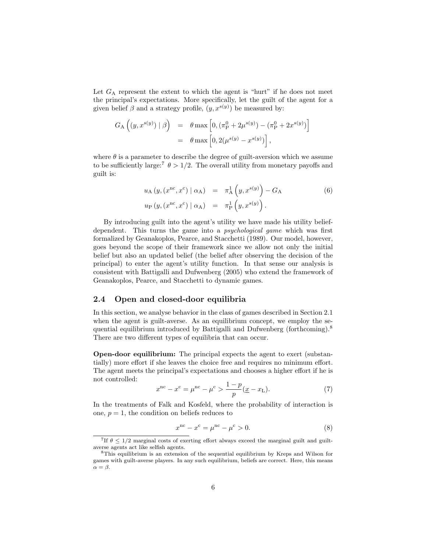Let  $G_A$  represent the extent to which the agent is "hurt" if he does not meet the principal's expectations. More specifically, let the guilt of the agent for a given belief  $\beta$  and a strategy profile,  $(y, x^{s(y)})$  be measured by:

$$
G_{\mathcal{A}}\left((y, x^{s(y)}) \mid \beta\right) = \theta \max\left[0, \left(\pi_{\mathcal{P}}^{0} + 2\mu^{s(y)}\right) - \left(\pi_{\mathcal{P}}^{0} + 2x^{s(y)}\right)\right]
$$

$$
= \theta \max\left[0, 2(\mu^{s(y)} - x^{s(y)})\right],
$$

where  $\theta$  is a parameter to describe the degree of guilt-aversion which we assume to be sufficiently large:<sup>7</sup>  $\theta > 1/2$ . The overall utility from monetary payoffs and guilt is:

$$
u_{A} (y, (x^{nc}, x^{c}) | \alpha_{A}) = \pi_{A}^{1} (y, x^{s(y)}) - G_{A}
$$
  
\n
$$
u_{P} (y, (x^{nc}, x^{c}) | \alpha_{A}) = \pi_{P}^{1} (y, x^{s(y)}) .
$$
\n(6)

By introducing guilt into the agent's utility we have made his utility beliefdependent. This turns the game into a psychological game which was first formalized by Geanakoplos, Pearce, and Stacchetti (1989). Our model, however, goes beyond the scope of their framework since we allow not only the initial belief but also an updated belief (the belief after observing the decision of the principal) to enter the agent's utility function. In that sense our analysis is consistent with Battigalli and Dufwenberg (2005) who extend the framework of Geanakoplos, Pearce, and Stacchetti to dynamic games.

## 2.4 Open and closed-door equilibria

In this section, we analyse behavior in the class of games described in Section 2.1 when the agent is guilt-averse. As an equilibrium concept, we employ the sequential equilibrium introduced by Battigalli and Dufwenberg (forthcoming).<sup>8</sup> There are two different types of equilibria that can occur.

Open-door equilibrium: The principal expects the agent to exert (substantially) more effort if she leaves the choice free and requires no minimum effort. The agent meets the principal's expectations and chooses a higher effort if he is not controlled:

$$
xnc - xc = \munc - \muc > \frac{1 - p}{p} (\underline{x} - x_{\text{L}}).
$$
 (7)

In the treatments of Falk and Kosfeld, where the probability of interaction is one,  $p = 1$ , the condition on beliefs reduces to

$$
xnc - xc = \munc - \muc > 0.
$$
 (8)

<sup>&</sup>lt;sup>7</sup>If  $\theta \leq 1/2$  marginal costs of exerting effort always exceed the marginal guilt and guiltaverse agents act like selfish agents.

<sup>8</sup>This equilibrium is an extension of the sequential equilibrium by Kreps and Wilson for games with guilt-averse players. In any such equilibrium, beliefs are correct. Here, this means  $\alpha = \beta$ .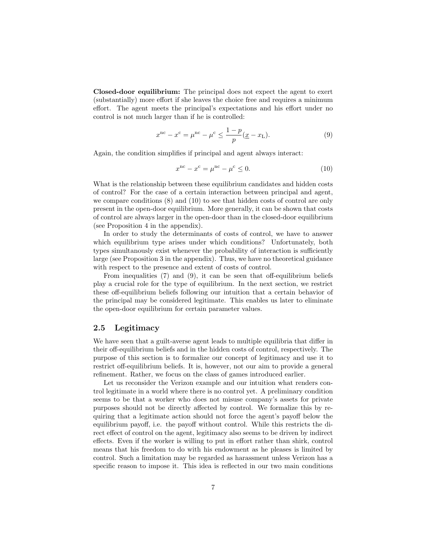Closed-door equilibrium: The principal does not expect the agent to exert (substantially) more effort if she leaves the choice free and requires a minimum effort. The agent meets the principal's expectations and his effort under no control is not much larger than if he is controlled:

$$
xnc - xc = \munc - \muc \le \frac{1 - p}{p} (\underline{x} - x_{\text{L}}).
$$
 (9)

Again, the condition simplifies if principal and agent always interact:

$$
xnc - xc = \munc - \muc \le 0.
$$
 (10)

What is the relationship between these equilibrium candidates and hidden costs of control? For the case of a certain interaction between principal and agent, we compare conditions (8) and (10) to see that hidden costs of control are only present in the open-door equilibrium. More generally, it can be shown that costs of control are always larger in the open-door than in the closed-door equilibrium (see Proposition 4 in the appendix).

In order to study the determinants of costs of control, we have to answer which equilibrium type arises under which conditions? Unfortunately, both types simultanously exist whenever the probability of interaction is sufficiently large (see Proposition 3 in the appendix). Thus, we have no theoretical guidance with respect to the presence and extent of costs of control.

From inequalities (7) and (9), it can be seen that off-equilibrium beliefs play a crucial role for the type of equilibrium. In the next section, we restrict these off-equilibrium beliefs following our intuition that a certain behavior of the principal may be considered legitimate. This enables us later to eliminate the open-door equilibrium for certain parameter values.

## 2.5 Legitimacy

We have seen that a guilt-averse agent leads to multiple equilibria that differ in their off-equilibrium beliefs and in the hidden costs of control, respectively. The purpose of this section is to formalize our concept of legitimacy and use it to restrict off-equilibrium beliefs. It is, however, not our aim to provide a general refinement. Rather, we focus on the class of games introduced earlier.

Let us reconsider the Verizon example and our intuition what renders control legitimate in a world where there is no control yet. A preliminary condition seems to be that a worker who does not misuse company's assets for private purposes should not be directly affected by control. We formalize this by requiring that a legitimate action should not force the agent's payoff below the equilibrium payoff, i.e. the payoff without control. While this restricts the direct effect of control on the agent, legitimacy also seems to be driven by indirect effects. Even if the worker is willing to put in effort rather than shirk, control means that his freedom to do with his endowment as he pleases is limited by control. Such a limitation may be regarded as harassment unless Verizon has a specific reason to impose it. This idea is reflected in our two main conditions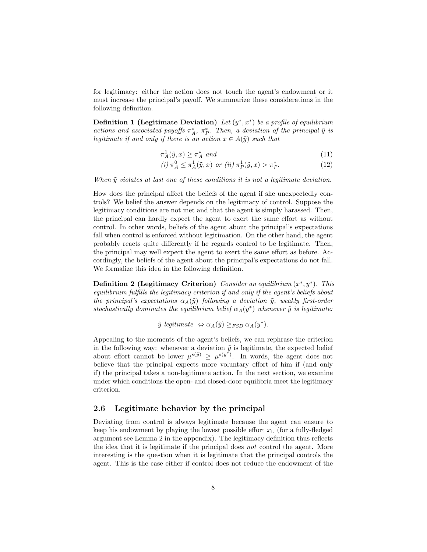for legitimacy: either the action does not touch the agent's endowment or it must increase the principal's payoff. We summarize these considerations in the following definition.

Definition 1 (Legitimate Deviation) Let  $(y^*, x^*)$  be a profile of equilibrium actions and associated payoffs  $\pi_A^*$ ,  $\pi_P^*$ . Then, a deviation of the principal  $\tilde{y}$  is legitimate if and only if there is an action  $x \in A(\tilde{y})$  such that

$$
\pi_A^1(\tilde{y}, x) \ge \pi_A^* \text{ and } \tag{11}
$$

$$
(i) \ \pi_A^0 \le \pi_A^1(\tilde{y}, x) \ \text{or} \ (ii) \ \pi_P^1(\tilde{y}, x) > \pi_P^*.
$$
 (12)

When  $\tilde{y}$  violates at last one of these conditions it is not a legitimate deviation.

How does the principal affect the beliefs of the agent if she unexpectedly controls? We belief the answer depends on the legitimacy of control. Suppose the legitimacy conditions are not met and that the agent is simply harassed. Then, the principal can hardly expect the agent to exert the same effort as without control. In other words, beliefs of the agent about the principal's expectations fall when control is enforced without legitimation. On the other hand, the agent probably reacts quite differently if he regards control to be legitimate. Then, the principal may well expect the agent to exert the same effort as before. Accordingly, the beliefs of the agent about the principal's expectations do not fall. We formalize this idea in the following definition.

Definition 2 (Legitimacy Criterion) Consider an equilibrium  $(x^*, y^*)$ . This equilibrium fulfills the legitimacy criterion if and only if the agent's beliefs about the principal's expectations  $\alpha_A(\tilde{y})$  following a deviation  $\tilde{y}$ , weakly first-order stochastically dominates the equilibrium belief  $\alpha_A(y^*)$  whenever  $\tilde{y}$  is legitimate:

 $\tilde{y}$  legitimate  $\Leftrightarrow \alpha_A(\tilde{y}) \geq_{FSD} \alpha_A(y^*)$ .

Appealing to the moments of the agent's beliefs, we can rephrase the criterion in the following way: whenever a deviation  $\tilde{y}$  is legitimate, the expected belief about effort cannot be lower  $\mu^{s(\tilde{y})} \geq \mu^{s(y^*)}$ . In words, the agent does not believe that the principal expects more voluntary effort of him if (and only if) the principal takes a non-legitimate action. In the next section, we examine under which conditions the open- and closed-door equilibria meet the legitimacy criterion.

## 2.6 Legitimate behavior by the principal

Deviating from control is always legitimate because the agent can ensure to keep his endowment by playing the lowest possible effort  $x_L$  (for a fully-fledged argument see Lemma 2 in the appendix). The legitimacy definition thus reflects the idea that it is legitimate if the principal does not control the agent. More interesting is the question when it is legitimate that the principal controls the agent. This is the case either if control does not reduce the endowment of the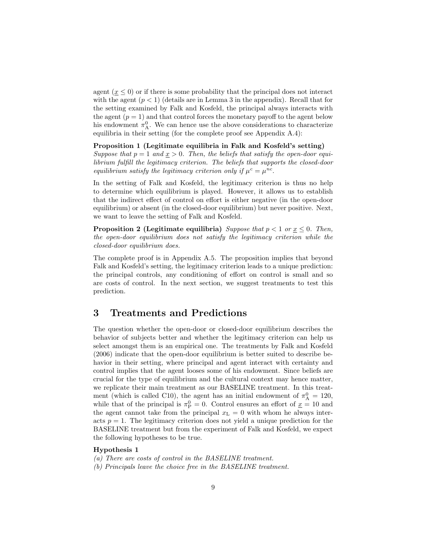agent  $(\underline{x} \leq 0)$  or if there is some probability that the principal does not interact with the agent  $(p < 1)$  (details are in Lemma 3 in the appendix). Recall that for the setting examined by Falk and Kosfeld, the principal always interacts with the agent  $(p = 1)$  and that control forces the monetary payoff to the agent below his endowment  $\pi_A^0$ . We can hence use the above considerations to characterize equilibria in their setting (for the complete proof see Appendix A.4):

#### Proposition 1 (Legitimate equilibria in Falk and Kosfeld's setting)

Suppose that  $p = 1$  and  $x > 0$ . Then, the beliefs that satisfy the open-door equilibrium fulfill the legitimacy criterion. The beliefs that supports the closed-door equilibrium satisfy the legitimacy criterion only if  $\mu^c = \mu^{nc}$ .

In the setting of Falk and Kosfeld, the legitimacy criterion is thus no help to determine which equilibrium is played. However, it allows us to establish that the indirect effect of control on effort is either negative (in the open-door equilibrium) or absent (in the closed-door equilibrium) but never positive. Next, we want to leave the setting of Falk and Kosfeld.

**Proposition 2 (Legitimate equilibria)** Suppose that  $p < 1$  or  $x \le 0$ . Then, the open-door equilibrium does not satisfy the legitimacy criterion while the closed-door equilibrium does.

The complete proof is in Appendix A.5. The proposition implies that beyond Falk and Kosfeld's setting, the legitimacy criterion leads to a unique prediction: the principal controls, any conditioning of effort on control is small and so are costs of control. In the next section, we suggest treatments to test this prediction.

## 3 Treatments and Predictions

The question whether the open-door or closed-door equilibrium describes the behavior of subjects better and whether the legitimacy criterion can help us select amongst them is an empirical one. The treatments by Falk and Kosfeld (2006) indicate that the open-door equilibrium is better suited to describe behavior in their setting, where principal and agent interact with certainty and control implies that the agent looses some of his endowment. Since beliefs are crucial for the type of equilibrium and the cultural context may hence matter, we replicate their main treatment as our BASELINE treatment. In this treatment (which is called C10), the agent has an initial endowment of  $\pi_A^0 = 120$ , while that of the principal is  $\pi_{\rm P}^0 = 0$ . Control ensures an effort of  $\underline{x} = 10$  and the agent cannot take from the principal  $x<sub>L</sub> = 0$  with whom he always interacts  $p = 1$ . The legitimacy criterion does not yield a unique prediction for the BASELINE treatment but from the experiment of Falk and Kosfeld, we expect the following hypotheses to be true.

#### Hypothesis 1

- (a) There are costs of control in the BASELINE treatment.
- (b) Principals leave the choice free in the BASELINE treatment.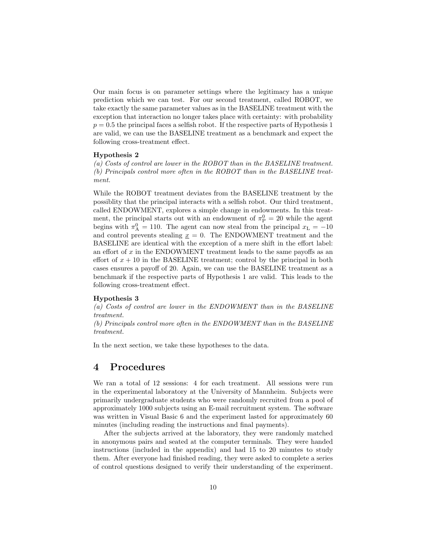Our main focus is on parameter settings where the legitimacy has a unique prediction which we can test. For our second treatment, called ROBOT, we take exactly the same parameter values as in the BASELINE treatment with the exception that interaction no longer takes place with certainty: with probability  $p = 0.5$  the principal faces a selfish robot. If the respective parts of Hypothesis 1 are valid, we can use the BASELINE treatment as a benchmark and expect the following cross-treatment effect.

#### Hypothesis 2

(a) Costs of control are lower in the ROBOT than in the BASELINE treatment. (b) Principals control more often in the ROBOT than in the BASELINE treatment.

While the ROBOT treatment deviates from the BASELINE treatment by the possiblity that the principal interacts with a selfish robot. Our third treatment, called ENDOWMENT, explores a simple change in endowments. In this treatment, the principal starts out with an endowment of  $\pi_{\rm P}^0 = 20$  while the agent begins with  $\pi_A^0 = 110$ . The agent can now steal from the principal  $x_L = -10$ and control prevents stealing  $x = 0$ . The ENDOWMENT treatment and the BASELINE are identical with the exception of a mere shift in the effort label: an effort of  $x$  in the ENDOWMENT treatment leads to the same payoffs as an effort of  $x + 10$  in the BASELINE treatment; control by the principal in both cases ensures a payoff of 20. Again, we can use the BASELINE treatment as a benchmark if the respective parts of Hypothesis 1 are valid. This leads to the following cross-treatment effect.

#### Hypothesis 3

(a) Costs of control are lower in the ENDOWMENT than in the BASELINE treatment.

(b) Principals control more often in the ENDOWMENT than in the BASELINE treatment.

In the next section, we take these hypotheses to the data.

## 4 Procedures

We ran a total of 12 sessions: 4 for each treatment. All sessions were run in the experimental laboratory at the University of Mannheim. Subjects were primarily undergraduate students who were randomly recruited from a pool of approximately 1000 subjects using an E-mail recruitment system. The software was written in Visual Basic 6 and the experiment lasted for approximately 60 minutes (including reading the instructions and final payments).

After the subjects arrived at the laboratory, they were randomly matched in anonymous pairs and seated at the computer terminals. They were handed instructions (included in the appendix) and had 15 to 20 minutes to study them. After everyone had finished reading, they were asked to complete a series of control questions designed to verify their understanding of the experiment.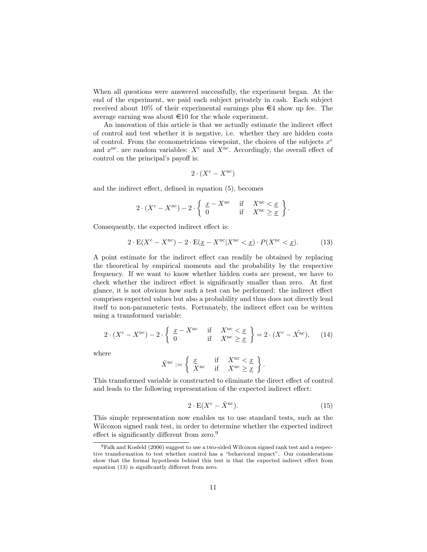When all questions were answered successfully, the experiment began. At the end of the experiment, we paid each subject privately in cash. Each subject received about 10% of their experimental earnings plus  $\epsilon$ 4 show up fee. The average earning was about  $\in$ 10 for the whole experiment.

An innovation of this article is that we actually estimate the indirect effect of control and test whether it is negative, i.e. whether they are hidden costs of control. From the econometricians viewpoint, the choices of the subjects  $x^c$ and  $x^{\text{nc}}$  are random variables:  $X^{\text{c}}$  and  $X^{\text{nc}}$ . Accordingly, the overall effect of control on the principal's payoff is:

$$
2 \cdot (X^{\text{c}} - X^{\text{nc}})
$$

and the indirect effect, defined in equation (5), becomes

$$
2\cdot (X^{\mathrm{c}}-X^{\mathrm{nc}})-2\cdot\left\{\begin{array}{lll}\frac{x}{0}-X^{\mathrm{nc}}&\mathrm{if}&X^{\mathrm{nc}}<\underline{x}\\0&\mathrm{if}&X^{\mathrm{nc}}\geq\underline{x}\end{array}\right\}.
$$

Consequently, the expected indirect effect is:

$$
2 \cdot E(X^{c} - X^{nc}) - 2 \cdot E(\underline{x} - X^{nc} | X^{nc} < \underline{x}) \cdot P(X^{nc} < \underline{x}). \tag{13}
$$

A point estimate for the indirect effect can readily be obtained by replacing the theoretical by empirical moments and the probability by the respective frequency. If we want to know whether hidden costs are present, we have to check whether the indirect effect is significantly smaller than zero. At first glance, it is not obvious how such a test can be performed: the indirect effect comprises expected values but also a probability and thus does not directly lend itself to non-parameteric tests. Fortunately, the indirect effect can be written using a transformed variable:

$$
2 \cdot (X^{c} - X^{nc}) - 2 \cdot \left\{ \begin{array}{ll} \frac{x}{0} - X^{nc} & \text{if } X^{nc} < \frac{x}{2} \\ 0 & \text{if } X^{nc} \geq \frac{x}{2} \end{array} \right\} = 2 \cdot (X^{c} - X^{nc}), \quad (14)
$$

where

$$
\tilde{X}^{\text{nc}} := \left\{ \begin{array}{ll} \underline{x} & \text{if} & X^{\text{nc}} < \underline{x} \\ X^{\text{nc}} & \text{if} & X^{\text{nc}} \geq \underline{x} \end{array} \right\}.
$$

This transformed variable is constructed to eliminate the direct effect of control and leads to the following representation of the expected indirect effect:

$$
2 \cdot E(X^c - \tilde{X}^{nc}). \tag{15}
$$

This simple representation now enables us to use standard tests, such as the Wilcoxon signed rank test, in order to determine whether the expected indirect effect is significantly different from zero.<sup>9</sup>

<sup>9</sup>Falk and Kosfeld (2006) suggest to use a two-sided Wilcoxon signed rank test and a respective transformation to test whether control has a "behavioral impact". Our considerations show that the formal hypothesis behind this test is that the expected indirect effect from equation (13) is significantly different from zero.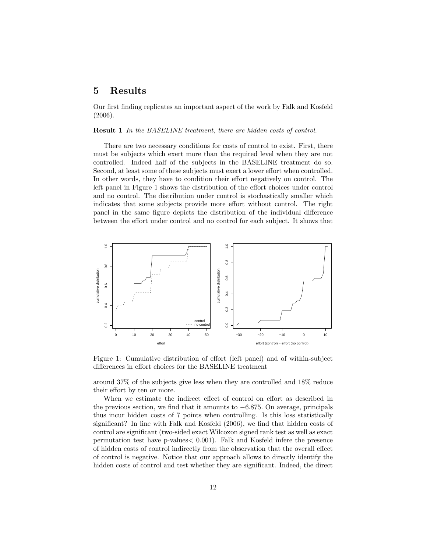## 5 Results

Our first finding replicates an important aspect of the work by Falk and Kosfeld (2006).

Result 1 In the BASELINE treatment, there are hidden costs of control.

There are two necessary conditions for costs of control to exist. First, there must be subjects which exert more than the required level when they are not controlled. Indeed half of the subjects in the BASELINE treatment do so. Second, at least some of these subjects must exert a lower effort when controlled. In other words, they have to condition their effort negatively on control. The left panel in Figure 1 shows the distribution of the effort choices under control and no control. The distribution under control is stochastically smaller which indicates that some subjects provide more effort without control. The right panel in the same figure depicts the distribution of the individual difference between the effort under control and no control for each subject. It shows that



Figure 1: Cumulative distribution of effort (left panel) and of within-subject differences in effort choices for the BASELINE treatment

around 37% of the subjects give less when they are controlled and 18% reduce their effort by ten or more.

When we estimate the indirect effect of control on effort as described in the previous section, we find that it amounts to  $-6.875$ . On average, principals thus incur hidden costs of 7 points when controlling. Is this loss statistically significant? In line with Falk and Kosfeld (2006), we find that hidden costs of control are significant (two-sided exact Wilcoxon signed rank test as well as exact permutation test have p-values< 0.001). Falk and Kosfeld infere the presence of hidden costs of control indirectly from the observation that the overall effect of control is negative. Notice that our approach allows to directly identify the hidden costs of control and test whether they are significant. Indeed, the direct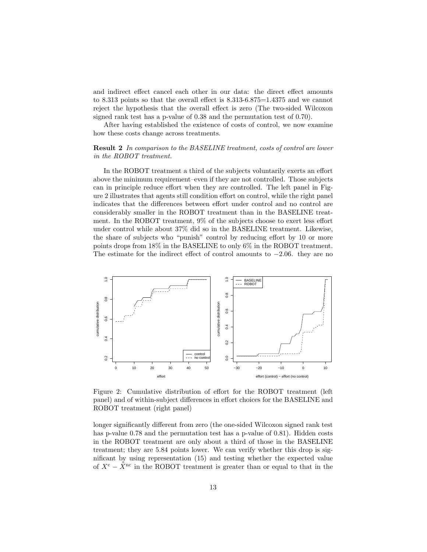and indirect effect cancel each other in our data: the direct effect amounts to 8.313 points so that the overall effect is 8.313-6.875=1.4375 and we cannot reject the hypothesis that the overall effect is zero (The two-sided Wilcoxon signed rank test has a p-value of 0.38 and the permutation test of 0.70).

After having established the existence of costs of control, we now examine how these costs change across treatments.

## Result 2 In comparison to the BASELINE treatment, costs of control are lower in the ROBOT treatment.

In the ROBOT treatment a third of the subjects voluntarily exerts an effort above the minimum requirement–even if they are not controlled. Those subjects can in principle reduce effort when they are controlled. The left panel in Figure 2 illustrates that agents still condition effort on control, while the right panel indicates that the differences between effort under control and no control are considerably smaller in the ROBOT treatment than in the BASELINE treatment. In the ROBOT treatment, 9% of the subjects choose to exert less effort under control while about 37% did so in the BASELINE treatment. Likewise, the share of subjects who "punish" control by reducing effort by 10 or more points drops from 18% in the BASELINE to only 6% in the ROBOT treatment. The estimate for the indirect effect of control amounts to −2.06. they are no



Figure 2: Cumulative distribution of effort for the ROBOT treatment (left panel) and of within-subject differences in effort choices for the BASELINE and ROBOT treatment (right panel)

longer significantly different from zero (the one-sided Wilcoxon signed rank test has p-value 0.78 and the permutation test has a p-value of 0.81). Hidden costs in the ROBOT treatment are only about a third of those in the BASELINE treatment; they are 5.84 points lower. We can verify whether this drop is significant by using representation (15) and testing whether the expected value of  $X^c - \tilde{X}^{nc}$  in the ROBOT treatment is greater than or equal to that in the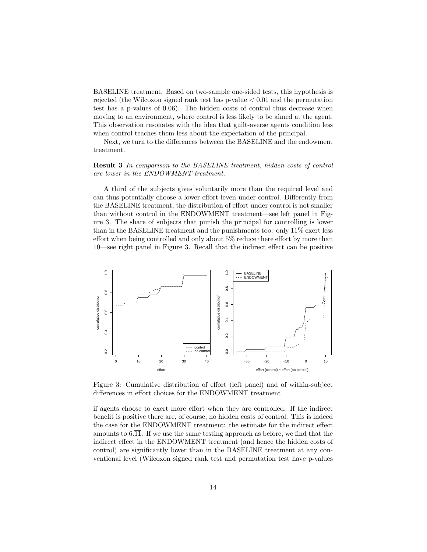BASELINE treatment. Based on two-sample one-sided tests, this hypothesis is rejected (the Wilcoxon signed rank test has  $p$ -value  $\lt 0.01$  and the permutation test has a p-values of 0.06). The hidden costs of control thus decrease when moving to an environment, where control is less likely to be aimed at the agent. This observation resonates with the idea that guilt-averse agents condition less when control teaches them less about the expectation of the principal.

Next, we turn to the differences between the BASELINE and the endowment treatment.

## Result 3 In comparison to the BASELINE treatment, hidden costs of control are lower in the ENDOWMENT treatment.

A third of the subjects gives voluntarily more than the required level and can thus potentially choose a lower effort leven under control. Differently from the BASELINE treatment, the distribution of effort under control is not smaller than without control in the ENDOWMENT treatment—see left panel in Figure 3. The share of subjects that punish the principal for controlling is lower than in the BASELINE treatment and the punishments too: only 11% exert less effort when being controlled and only about 5% reduce there effort by more than 10—see right panel in Figure 3. Recall that the indirect effect can be positive



Figure 3: Cumulative distribution of effort (left panel) and of within-subject differences in effort choices for the ENDOWMENT treatment

if agents choose to exert more effort when they are controlled. If the indirect benefit is positive there are, of course, no hidden costs of control. This is indeed the case for the ENDOWMENT treatment: the estimate for the indirect effect amounts to  $6.\overline{11}$ . If we use the same testing approach as before, we find that the indirect effect in the ENDOWMENT treatment (and hence the hidden costs of control) are significantly lower than in the BASELINE treatment at any conventional level (Wilcoxon signed rank test and permutation test have p-values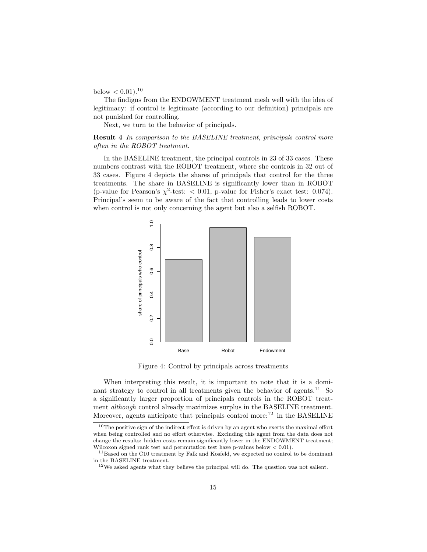below  $< 0.01$ ).<sup>10</sup>

The findigns from the ENDOWMENT treatment mesh well with the idea of legitimacy: if control is legitimate (according to our definition) principals are not punished for controlling.

Next, we turn to the behavior of principals.

Result 4 In comparison to the BASELINE treatment, principals control more often in the ROBOT treatment.

In the BASELINE treatment, the principal controls in 23 of 33 cases. These numbers contrast with the ROBOT treatment, where she controls in 32 out of 33 cases. Figure 4 depicts the shares of principals that control for the three treatments. The share in BASELINE is significantly lower than in ROBOT (p-value for Pearson's  $\chi^2$ -test: < 0.01, p-value for Fisher's exact test: 0.074). Principal's seem to be aware of the fact that controlling leads to lower costs when control is not only concerning the agent but also a selfish ROBOT.



Figure 4: Control by principals across treatments

When interpreting this result, it is important to note that it is a dominant strategy to control in all treatments given the behavior of agents.<sup>11</sup> So a significantly larger proportion of principals controls in the ROBOT treatment although control already maximizes surplus in the BASELINE treatment. Moreover, agents anticipate that principals control more: $^{12}$  in the BASELINE

 $10$ The positive sign of the indirect effect is driven by an agent who exerts the maximal effort when being controlled and no effort otherwise. Excluding this agent from the data does not change the results: hidden costs remain significantly lower in the ENDOWMENT treatment; Wilcoxon signed rank test and permutation test have p-values below  $< 0.01$ ).

<sup>&</sup>lt;sup>11</sup>Based on the C10 treatment by Falk and Kosfeld, we expected no control to be dominant in the BASELINE treatment.

 $^{12}\mathrm{We}$  asked agents what they believe the principal will do. The question was not salient.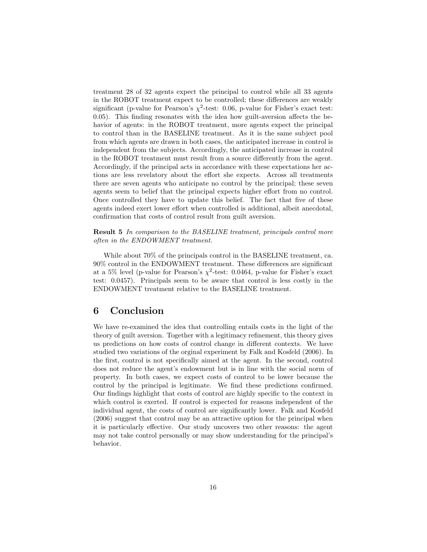treatment 28 of 32 agents expect the principal to control while all 33 agents in the ROBOT treatment expect to be controlled; these differences are weakly significant (p-value for Pearson's  $\chi^2$ -test: 0.06, p-value for Fisher's exact test: 0.05). This finding resonates with the idea how guilt-aversion affects the behavior of agents: in the ROBOT treatment, more agents expect the principal to control than in the BASELINE treatment. As it is the same subject pool from which agents are drawn in both cases, the anticipated increase in control is independent from the subjects. Accordingly, the anticipated increase in control in the ROBOT treatment must result from a source differently from the agent. Accordingly, if the principal acts in accordance with these expectations her actions are less revelatory about the effort she expects. Across all treatments there are seven agents who anticipate no control by the principal; these seven agents seem to belief that the principal expects higher effort from no control. Once controlled they have to update this belief. The fact that five of these agents indeed exert lower effort when controlled is additional, albeit anecdotal, confirmation that costs of control result from guilt aversion.

Result 5 In comparison to the BASELINE treatment, principals control more often in the ENDOWMENT treatment.

While about 70% of the principals control in the BASELINE treatment, ca. 90% control in the ENDOWMENT treatment. These differences are significant at a 5% level (p-value for Pearson's  $\chi^2$ -test: 0.0464, p-value for Fisher's exact test: 0.0457). Principals seem to be aware that control is less costly in the ENDOWMENT treatment relative to the BASELINE treatment.

## 6 Conclusion

We have re-examined the idea that controlling entails costs in the light of the theory of guilt aversion. Together with a legitimacy refinement, this theory gives us predictions on how costs of control change in different contexts. We have studied two variations of the orginal experiment by Falk and Kosfeld (2006). In the first, control is not specifically aimed at the agent. In the second, control does not reduce the agent's endowment but is in line with the social norm of property. In both cases, we expect costs of control to be lower because the control by the principal is legitimate. We find these predictions confirmed. Our findings highlight that costs of control are highly specific to the context in which control is exerted. If control is expected for reasons independent of the individual agent, the costs of control are significantly lower. Falk and Kosfeld (2006) suggest that control may be an attractive option for the principal when it is particularly effective. Our study uncovers two other reasons: the agent may not take control personally or may show understanding for the principal's behavior.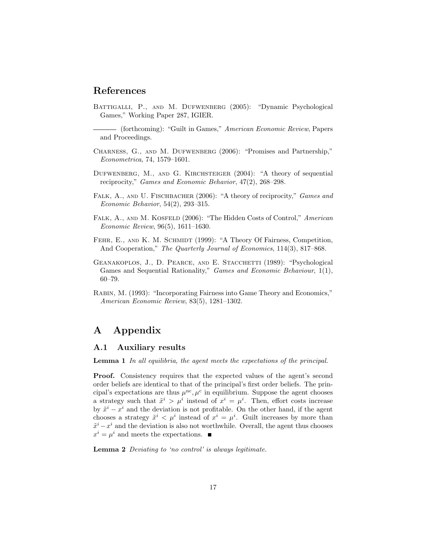## References

- Battigalli, P., and M. Dufwenberg (2005): "Dynamic Psychological Games," Working Paper 287, IGIER.
- (forthcoming): "Guilt in Games," American Economic Review, Papers and Proceedings.
- Charness, G., and M. Dufwenberg (2006): "Promises and Partnership," Econometrica, 74, 1579–1601.
- Dufwenberg, M., and G. Kirchsteiger (2004): "A theory of sequential reciprocity," Games and Economic Behavior, 47(2), 268–298.
- FALK, A., AND U. FISCHBACHER (2006): "A theory of reciprocity," Games and Economic Behavior, 54(2), 293–315.
- FALK, A., AND M. KOSFELD (2006): "The Hidden Costs of Control," American Economic Review, 96(5), 1611–1630.
- FEHR, E., AND K. M. SCHMIDT (1999): "A Theory Of Fairness, Competition, And Cooperation," The Quarterly Journal of Economics, 114(3), 817–868.
- GEANAKOPLOS, J., D. PEARCE, AND E. STACCHETTI (1989): "Psychological Games and Sequential Rationality," Games and Economic Behaviour, 1(1), 60–79.
- Rabin, M. (1993): "Incorporating Fairness into Game Theory and Economics," American Economic Review, 83(5), 1281–1302.

## A Appendix

#### A.1 Auxiliary results

Lemma 1 In all equilibria, the agent meets the expectations of the principal.

Proof. Consistency requires that the expected values of the agent's second order beliefs are identical to that of the principal's first order beliefs. The principal's expectations are thus  $\mu^{nc}, \mu^{c}$  in equilibrium. Suppose the agent chooses a strategy such that  $\tilde{x}^i > \mu^i$  instead of  $x^i = \mu^i$ . Then, effort costs increase by  $\tilde{x}^i - x^i$  and the deviation is not profitable. On the other hand, if the agent chooses a strategy  $\tilde{x}^i < \mu^i$  instead of  $x^i = \mu^i$ . Guilt increases by more than  $\tilde{x}^i - x^i$  and the deviation is also not worthwhile. Overall, the agent thus chooses  $x^i = \mu^i$  and meets the expectations.

Lemma 2 Deviating to 'no control' is always legitimate.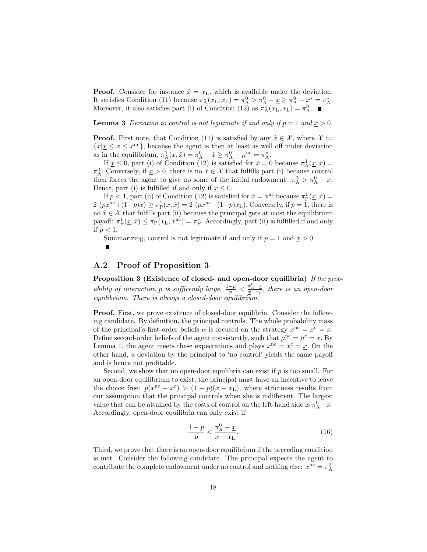**Proof.** Consider for instance  $\hat{x} = x_L$ , which is available under the deviation. It satisfies Condition (11) because  $\pi_A^1(x_L, x_L) = \pi_A^0 > \pi_A^0 - \underline{x} \ge \pi_A^0 - \underline{x}^* = \pi_A^*$ . Moreover, it also satisfies part (i) of Condition (12) as  $\pi_A^{\bar{1}}(x_L, x_L) = \pi_A^0$ .

**Lemma 3** Deviation to control is not legitimate if and only if  $p = 1$  and  $x > 0$ .

**Proof.** First note, that Condition (11) is satisfied by any  $\hat{x} \in \mathcal{X}$ , where  $\mathcal{X} :=$  ${x \mid x \leq x \leq x^{nc}}$ , because the agent is then at least as well off under deviation as in the equilibrium,  $\pi_A^1(\underline{x}, \hat{x}) = \pi_A^0 - \hat{x} \ge \pi_A^0 - \mu^{\text{nc}} = \pi_A^*$ .

If  $\underline{x} \leq 0$ , part (i) of Condition (12) is satisfied for  $\hat{x} = 0$  because  $\pi_A^1(\underline{x}, \hat{x}) =$  $\pi_{\rm A}^0$ . Conversely, if  $\underline{x} > 0$ , there is no  $\hat{x} \in \mathcal{X}$  that fulfills part (i) because control then forces the agent to give up some of the initial endowment:  $\pi_A^0 > \pi_A^0 - \underline{x}$ . Hence, part (i) is fulfilled if and only if  $\underline{x} \leq 0$ .

If  $p < 1$ , part (ii) of Condition (12) is satisfied for  $\hat{x} = x^{\text{nc}}$  because  $\pi_{\text{P}}^1(\underline{x}, \hat{x}) =$  $2 \cdot (px^{nc} + (1-p)x) \ge \pi_P^1(\underline{x}, \hat{x}) = 2 \cdot (px^{nc} + (1-p)x_L)$ . Conversely, if  $p = 1$ , there is no  $\hat{x} \in \mathcal{X}$  that fulfills part (ii) because the principal gets at most the equilibrium payoff:  $\pi_{\rm P}^1(\underline{x}, \hat{x}) \leq \pi_{\rm P}(x_{\rm L}, x^{\rm nc}) = \pi_{\rm P}^*$ . Accordingly, part (ii) is fulfilled if and only if  $p < 1$ .

Summarizing, control is not legitimate if and only if  $p = 1$  and  $x > 0$ .

## A.2 Proof of Proposition 3

Proposition 3 (Existence of closed- and open-door equilibria) If the probability of interaction p is sufficently large,  $\frac{1-p}{p} < \frac{\pi_A^0 - x}{x - x_L}$ , there is an open-door equilibrium. There is always a closed-door equilibrium.

Proof. First, we prove existence of closed-door equilibria. Consider the following candidate. By definition, the principal controls. The whole probability mass of the principal's first-order beliefs  $\alpha$  is focused on the strategy  $x^{\text{nc}} = x^{\text{c}} = \underline{x}$ . Define second-order beliefs of the agent consistently, such that  $\mu^{nc} = \mu^{c} = \underline{x}$ . By Lemma 1, the agent meets these expectations and plays  $x^{\text{nc}} = x^{\text{c}} = \underline{x}$ . On the other hand, a deviation by the principal to 'no control' yields the same payoff and is hence not profitable.

Second, we show that no open-door equilibria can exist if  $p$  is too small. For an open-door equilibrium to exist, the principal must have an incentive to leave the choice free:  $p(x^{\text{nc}} - x^{\text{c}}) > (1-p)(\underline{x} - x_{\text{L}})$ , where strictness results from our assumption that the principal controls when she is indifferent. The largest value that can be attained by the costs of control on the left-hand side is  $\pi_A^0 - \underline{x}$ . Accordingly, open-door equilibria can only exist if

$$
\frac{1-p}{p} < \frac{\pi_A^0 - \underline{x}}{\underline{x} - x_\mathrm{L}}.\tag{16}
$$

Third, we prove that there is an open-door equilibrium if the preceding condition is met. Consider the following candidate. The principal expects the agent to contribute the complete endowment under no control and nothing else:  $x^{\text{nc}} = \pi_A^0$